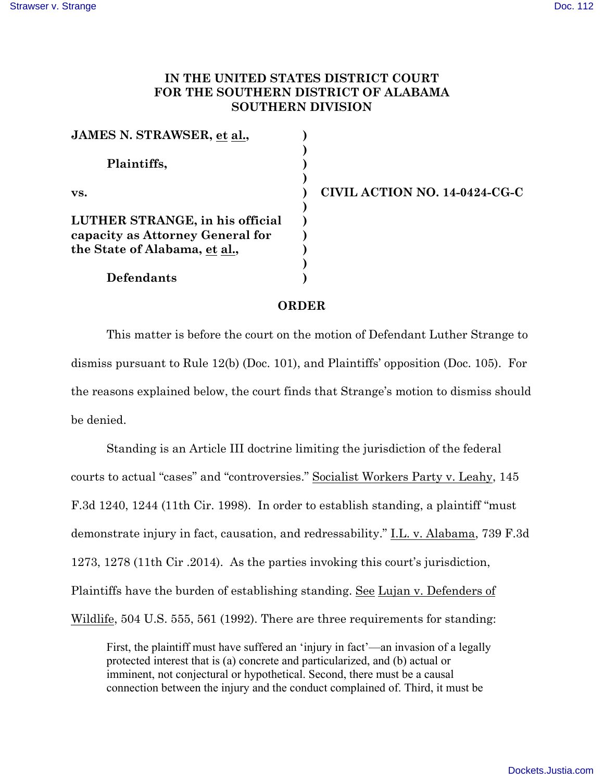## **IN THE UNITED STATES DISTRICT COURT FOR THE SOUTHERN DISTRICT OF ALABAMA SOUTHERN DIVISION**

| JAMES N. STRAWSER, et al.,       |  |
|----------------------------------|--|
|                                  |  |
| Plaintiffs,<br>VS.               |  |
|                                  |  |
|                                  |  |
|                                  |  |
| LUTHER STRANGE, in his official  |  |
| capacity as Attorney General for |  |
| the State of Alabama, et al.,    |  |
|                                  |  |
| <b>Defendants</b>                |  |

**vs. ) CIVIL ACTION NO. 14-0424-CG-C**

## **ORDER**

This matter is before the court on the motion of Defendant Luther Strange to dismiss pursuant to Rule 12(b) (Doc. 101), and Plaintiffs' opposition (Doc. 105). For the reasons explained below, the court finds that Strange's motion to dismiss should be denied.

Standing is an Article III doctrine limiting the jurisdiction of the federal courts to actual "cases" and "controversies." Socialist Workers Party v. Leahy, 145 F.3d 1240, 1244 (11th Cir. 1998). In order to establish standing, a plaintiff "must demonstrate injury in fact, causation, and redressability." I.L. v. Alabama, 739 F.3d 1273, 1278 (11th Cir .2014). As the parties invoking this court's jurisdiction, Plaintiffs have the burden of establishing standing. See Lujan v. Defenders of Wildlife, 504 U.S. 555, 561 (1992). There are three requirements for standing:

First, the plaintiff must have suffered an 'injury in fact'—an invasion of a legally protected interest that is (a) concrete and particularized, and (b) actual or imminent, not conjectural or hypothetical. Second, there must be a causal connection between the injury and the conduct complained of. Third, it must be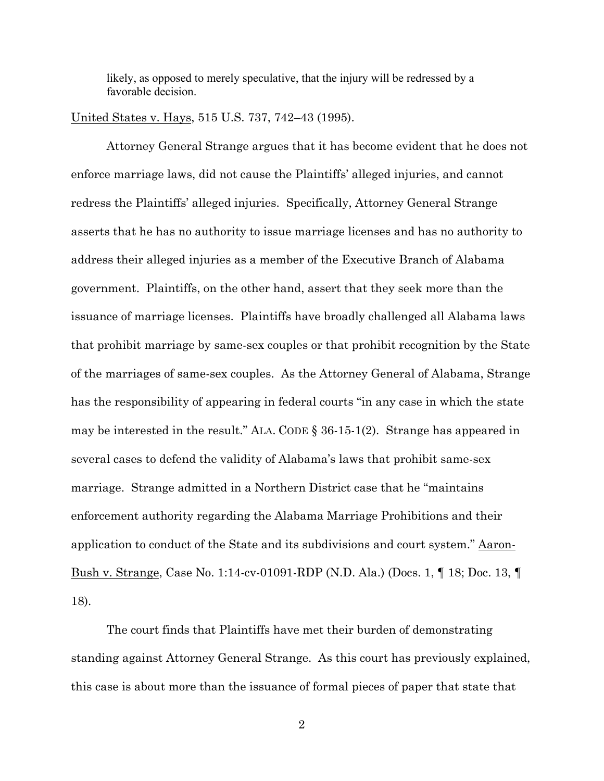likely, as opposed to merely speculative, that the injury will be redressed by a favorable decision.

United States v. Hays, 515 U.S. 737, 742–43 (1995).

Attorney General Strange argues that it has become evident that he does not enforce marriage laws, did not cause the Plaintiffs' alleged injuries, and cannot redress the Plaintiffs' alleged injuries. Specifically, Attorney General Strange asserts that he has no authority to issue marriage licenses and has no authority to address their alleged injuries as a member of the Executive Branch of Alabama government. Plaintiffs, on the other hand, assert that they seek more than the issuance of marriage licenses. Plaintiffs have broadly challenged all Alabama laws that prohibit marriage by same-sex couples or that prohibit recognition by the State of the marriages of same-sex couples. As the Attorney General of Alabama, Strange has the responsibility of appearing in federal courts "in any case in which the state may be interested in the result." ALA. CODE § 36-15-1(2). Strange has appeared in several cases to defend the validity of Alabama's laws that prohibit same-sex marriage. Strange admitted in a Northern District case that he "maintains enforcement authority regarding the Alabama Marriage Prohibitions and their application to conduct of the State and its subdivisions and court system." Aaron-Bush v. Strange, Case No. 1:14-cv-01091-RDP (N.D. Ala.) (Docs. 1, ¶ 18; Doc. 13, ¶ 18).

The court finds that Plaintiffs have met their burden of demonstrating standing against Attorney General Strange. As this court has previously explained, this case is about more than the issuance of formal pieces of paper that state that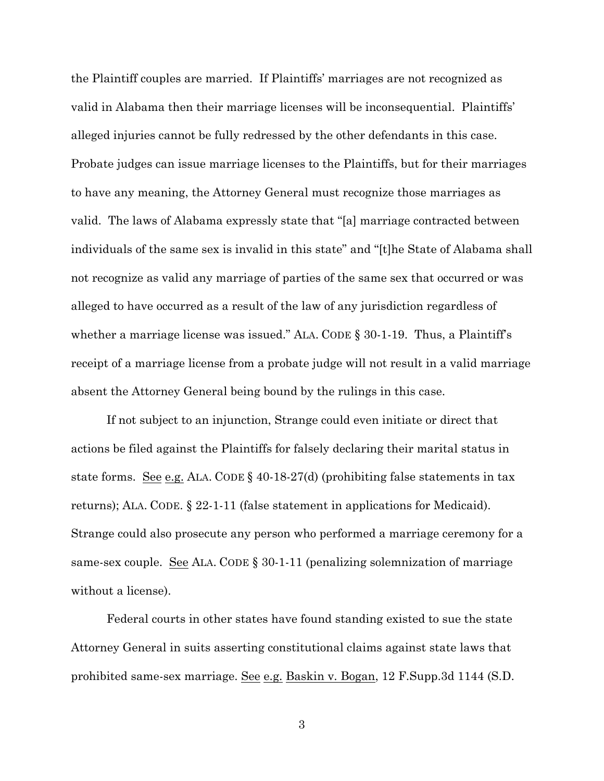the Plaintiff couples are married. If Plaintiffs' marriages are not recognized as valid in Alabama then their marriage licenses will be inconsequential. Plaintiffs' alleged injuries cannot be fully redressed by the other defendants in this case. Probate judges can issue marriage licenses to the Plaintiffs, but for their marriages to have any meaning, the Attorney General must recognize those marriages as valid. The laws of Alabama expressly state that "[a] marriage contracted between individuals of the same sex is invalid in this state" and "[t]he State of Alabama shall not recognize as valid any marriage of parties of the same sex that occurred or was alleged to have occurred as a result of the law of any jurisdiction regardless of whether a marriage license was issued." ALA. CODE § 30-1-19. Thus, a Plaintiff's receipt of a marriage license from a probate judge will not result in a valid marriage absent the Attorney General being bound by the rulings in this case.

If not subject to an injunction, Strange could even initiate or direct that actions be filed against the Plaintiffs for falsely declaring their marital status in state forms. See e.g. ALA. CODE  $\S$  40-18-27(d) (prohibiting false statements in tax returns); ALA. CODE. § 22-1-11 (false statement in applications for Medicaid). Strange could also prosecute any person who performed a marriage ceremony for a same-sex couple. See ALA. CODE § 30-1-11 (penalizing solemnization of marriage without a license).

Federal courts in other states have found standing existed to sue the state Attorney General in suits asserting constitutional claims against state laws that prohibited same-sex marriage. See e.g. Baskin v. Bogan, 12 F.Supp.3d 1144 (S.D.

3